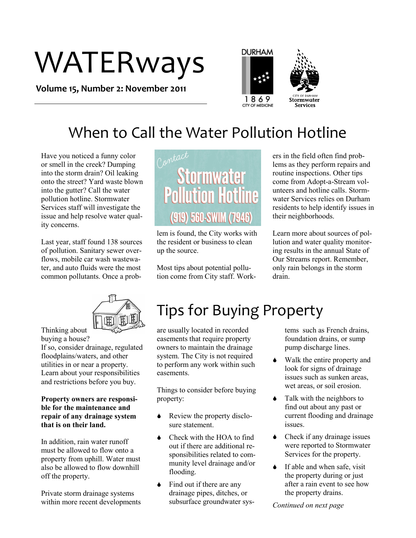# WATERways

**Volume 15, Number 2: November 2011**





## When to Call the Water Pollution Hotline

Have you noticed a funny color or smell in the creek? Dumping into the storm drain? Oil leaking onto the street? Yard waste blown into the gutter? Call the water pollution hotline. Stormwater Services staff will investigate the issue and help resolve water quality concerns.

Last year, staff found 138 sources of pollution. Sanitary sewer overflows, mobile car wash wastewater, and auto fluids were the most common pollutants. Once a prob-



lem is found, the City works with the resident or business to clean up the source.

Most tips about potential pollution come from City staff. Work-

ers in the field often find problems as they perform repairs and routine inspections. Other tips come from Adopt-a-Stream volunteers and hotline calls. Stormwater Services relies on Durham residents to help identify issues in their neighborhoods.

Learn more about sources of pollution and water quality monitoring results in the annual State of Our Streams report. Remember, only rain belongs in the storm drain.



Thinking about buying a house? If so, consider drainage, regulated floodplains/waters, and other utilities in or near a property. Learn about your responsibilities

and restrictions before you buy.

#### **Property owners are responsible for the maintenance and repair of any drainage system that is on their land.**

In addition, rain water runoff must be allowed to flow onto a property from uphill. Water must also be allowed to flow downhill off the property.

Private storm drainage systems within more recent developments

## Tips for Buying Property

are usually located in recorded easements that require property owners to maintain the drainage system. The City is not required to perform any work within such easements.

Things to consider before buying property:

- Review the property disclosure statement.
- Check with the HOA to find out if there are additional responsibilities related to community level drainage and/or flooding.
- $\bullet$  Find out if there are any drainage pipes, ditches, or subsurface groundwater sys-

tems such as French drains, foundation drains, or sump pump discharge lines.

- Walk the entire property and look for signs of drainage issues such as sunken areas, wet areas, or soil erosion.
- $\bullet$  Talk with the neighbors to find out about any past or current flooding and drainage issues.
- $\triangle$  Check if any drainage issues were reported to Stormwater Services for the property.
- If able and when safe, visit the property during or just after a rain event to see how the property drains.

*Continued on next page*